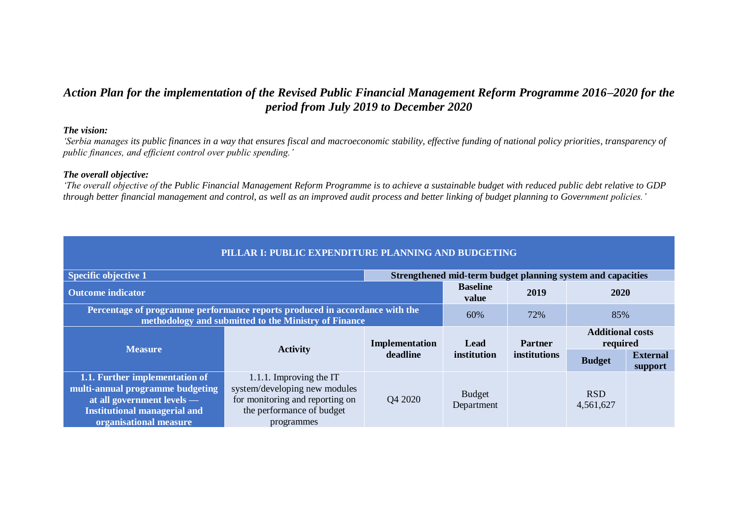## *Action Plan for the implementation of the Revised Public Financial Management Reform Programme 2016–2020 for the period from July 2019 to December 2020*

## *The vision:*

*'Serbia manages its public finances in a way that ensures fiscal and macroeconomic stability, effective funding of national policy priorities, transparency of public finances, and efficient control over public spending.'*

## *The overall objective:*

*'The overall objective of the Public Financial Management Reform Programme is to achieve a sustainable budget with reduced public debt relative to GDP through better financial management and control, as well as an improved audit process and better linking of budget planning to Government policies.'* 

| PILLAR I: PUBLIC EXPENDITURE PLANNING AND BUDGETING                                                                                                               |                                                                                                                          |                |                                                             |                |                                                             |                            |  |
|-------------------------------------------------------------------------------------------------------------------------------------------------------------------|--------------------------------------------------------------------------------------------------------------------------|----------------|-------------------------------------------------------------|----------------|-------------------------------------------------------------|----------------------------|--|
| <b>Specific objective 1</b>                                                                                                                                       |                                                                                                                          |                | Strengthened mid-term budget planning system and capacities |                |                                                             |                            |  |
| <b>Outcome indicator</b>                                                                                                                                          |                                                                                                                          |                | <b>Baseline</b><br>value                                    | 2019           | 2020                                                        |                            |  |
| Percentage of programme performance reports produced in accordance with the<br>methodology and submitted to the Ministry of Finance                               | 60%                                                                                                                      | 72%            |                                                             |                |                                                             |                            |  |
| <b>Measure</b>                                                                                                                                                    | <b>Activity</b>                                                                                                          | Implementation | <b>Lead</b>                                                 | <b>Partner</b> |                                                             |                            |  |
|                                                                                                                                                                   |                                                                                                                          | deadline       | institution                                                 | institutions   | 85%<br><b>Additional costs</b><br>required<br><b>Budget</b> | <b>External</b><br>support |  |
| 1.1. Further implementation of<br>multi-annual programme budgeting<br>at all government levels —<br><b>Institutional managerial and</b><br>organisational measure | 1.1.1. Improving the IT<br>system/developing new modules<br>for monitoring and reporting on<br>the performance of budget | Q4 2020        | <b>Budget</b><br>Department                                 |                | <b>RSD</b><br>4,561,627                                     |                            |  |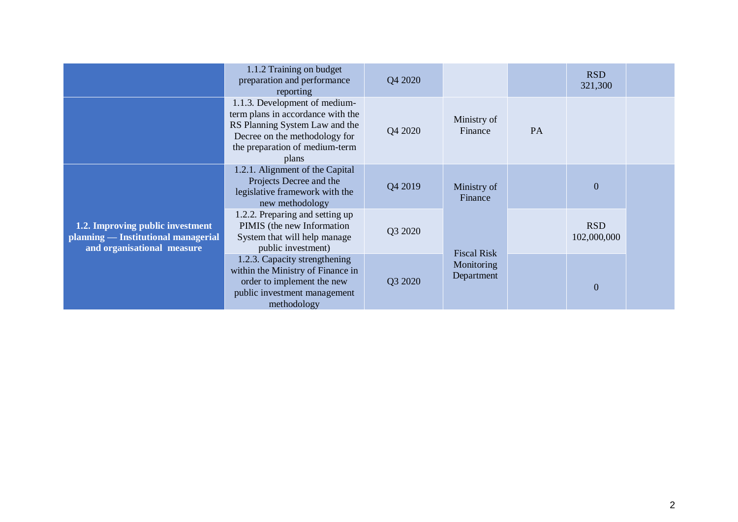|                                                                                                       | 1.1.2 Training on budget<br>preparation and performance<br>reporting                                                                                                             | Q4 2020 |                          |           | <b>RSD</b><br>321,300     |  |
|-------------------------------------------------------------------------------------------------------|----------------------------------------------------------------------------------------------------------------------------------------------------------------------------------|---------|--------------------------|-----------|---------------------------|--|
|                                                                                                       | 1.1.3. Development of medium-<br>term plans in accordance with the<br>RS Planning System Law and the<br>Decree on the methodology for<br>the preparation of medium-term<br>plans | Q4 2020 | Ministry of<br>Finance   | <b>PA</b> |                           |  |
|                                                                                                       | 1.2.1. Alignment of the Capital<br>Projects Decree and the<br>legislative framework with the<br>new methodology                                                                  | Q4 2019 | Ministry of<br>Finance   |           | $\mathbf{0}$              |  |
| 1.2. Improving public investment<br>planning — Institutional managerial<br>and organisational measure | 1.2.2. Preparing and setting up<br>PIMIS (the new Information<br>System that will help manage<br>public investment)                                                              | Q3 2020 | <b>Fiscal Risk</b>       |           | <b>RSD</b><br>102,000,000 |  |
|                                                                                                       | 1.2.3. Capacity strengthening<br>within the Ministry of Finance in<br>order to implement the new<br>public investment management<br>methodology                                  | Q3 2020 | Monitoring<br>Department |           | $\overline{0}$            |  |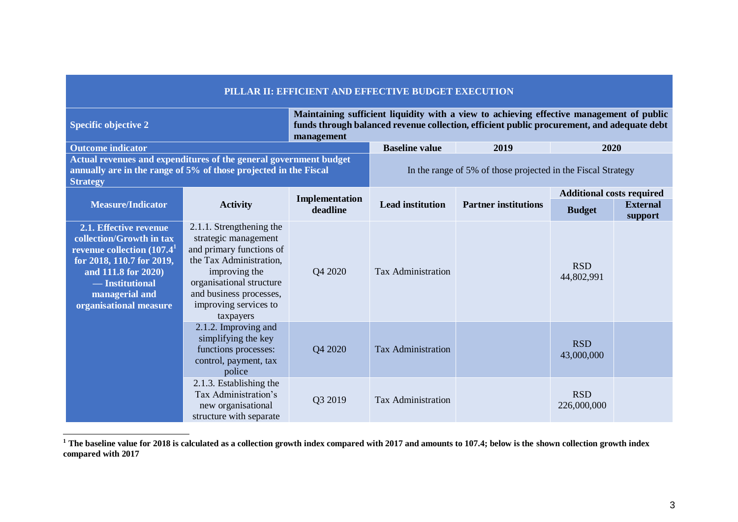|                                                                                                                                                                                                       | PILLAR II: EFFICIENT AND EFFECTIVE BUDGET EXECUTION                                                                                                                                                                   |                |                                                                                                                                                                                        |                                                              |                                  |                            |  |
|-------------------------------------------------------------------------------------------------------------------------------------------------------------------------------------------------------|-----------------------------------------------------------------------------------------------------------------------------------------------------------------------------------------------------------------------|----------------|----------------------------------------------------------------------------------------------------------------------------------------------------------------------------------------|--------------------------------------------------------------|----------------------------------|----------------------------|--|
| <b>Specific objective 2</b>                                                                                                                                                                           |                                                                                                                                                                                                                       |                | Maintaining sufficient liquidity with a view to achieving effective management of public<br>funds through balanced revenue collection, efficient public procurement, and adequate debt |                                                              |                                  |                            |  |
| <b>Outcome indicator</b>                                                                                                                                                                              |                                                                                                                                                                                                                       |                | <b>Baseline value</b>                                                                                                                                                                  | 2019                                                         | 2020                             |                            |  |
| Actual revenues and expenditures of the general government budget<br>annually are in the range of 5% of those projected in the Fiscal<br><b>Strategy</b>                                              |                                                                                                                                                                                                                       |                |                                                                                                                                                                                        | In the range of 5% of those projected in the Fiscal Strategy |                                  |                            |  |
|                                                                                                                                                                                                       |                                                                                                                                                                                                                       | Implementation |                                                                                                                                                                                        |                                                              | <b>Additional costs required</b> |                            |  |
| <b>Measure/Indicator</b>                                                                                                                                                                              | <b>Activity</b>                                                                                                                                                                                                       | deadline       | <b>Lead institution</b>                                                                                                                                                                | <b>Partner institutions</b>                                  | <b>Budget</b>                    | <b>External</b><br>support |  |
| 2.1. Effective revenue<br>collection/Growth in tax<br>revenue collection $(107.41$<br>for 2018, 110.7 for 2019,<br>and 111.8 for 2020)<br>- Institutional<br>managerial and<br>organisational measure | 2.1.1. Strengthening the<br>strategic management<br>and primary functions of<br>the Tax Administration,<br>improving the<br>organisational structure<br>and business processes,<br>improving services to<br>taxpayers | Q4 2020        | <b>Tax Administration</b>                                                                                                                                                              |                                                              | <b>RSD</b><br>44,802,991         |                            |  |
|                                                                                                                                                                                                       | 2.1.2. Improving and<br>simplifying the key<br>functions processes:<br>control, payment, tax<br>police                                                                                                                | Q4 2020        | <b>Tax Administration</b>                                                                                                                                                              |                                                              | <b>RSD</b><br>43,000,000         |                            |  |
|                                                                                                                                                                                                       | 2.1.3. Establishing the<br>Tax Administration's<br>new organisational<br>structure with separate                                                                                                                      | Q3 2019        | <b>Tax Administration</b>                                                                                                                                                              |                                                              | <b>RSD</b><br>226,000,000        |                            |  |

**<sup>1</sup> The baseline value for 2018 is calculated as a collection growth index compared with 2017 and amounts to 107.4; below is the shown collection growth index compared with 2017**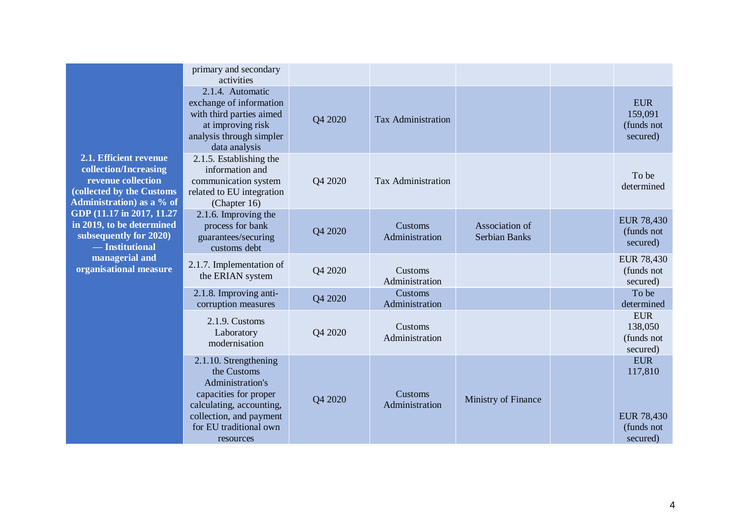|                                                                                                                                                                                                                                        | primary and secondary<br>activities                                                                                                                                             |         |                           |                                        |                                                                      |
|----------------------------------------------------------------------------------------------------------------------------------------------------------------------------------------------------------------------------------------|---------------------------------------------------------------------------------------------------------------------------------------------------------------------------------|---------|---------------------------|----------------------------------------|----------------------------------------------------------------------|
|                                                                                                                                                                                                                                        | 2.1.4. Automatic<br>exchange of information<br>with third parties aimed<br>at improving risk<br>analysis through simpler<br>data analysis                                       | Q4 2020 | <b>Tax Administration</b> |                                        | <b>EUR</b><br>159,091<br>(funds not<br>secured)                      |
| 2.1. Efficient revenue<br>collection/Increasing<br>revenue collection<br>(collected by the Customs<br>Administration) as a % of<br>GDP (11.17 in 2017, 11.27<br>in 2019, to be determined<br>subsequently for 2020)<br>— Institutional | 2.1.5. Establishing the<br>information and<br>communication system<br>related to EU integration<br>(Chapter 16)                                                                 | Q4 2020 | <b>Tax Administration</b> |                                        | To be<br>determined                                                  |
|                                                                                                                                                                                                                                        | 2.1.6. Improving the<br>process for bank<br>guarantees/securing<br>customs debt                                                                                                 | Q4 2020 | Customs<br>Administration | Association of<br><b>Serbian Banks</b> | <b>EUR 78,430</b><br>(funds not<br>secured)                          |
| managerial and<br>organisational measure                                                                                                                                                                                               | 2.1.7. Implementation of<br>the ERIAN system                                                                                                                                    | Q4 2020 | Customs<br>Administration |                                        | <b>EUR 78,430</b><br>(funds not<br>secured)                          |
|                                                                                                                                                                                                                                        | 2.1.8. Improving anti-<br>corruption measures                                                                                                                                   | Q4 2020 | Customs<br>Administration |                                        | To be<br>determined                                                  |
|                                                                                                                                                                                                                                        | 2.1.9. Customs<br>Laboratory<br>modernisation                                                                                                                                   | Q4 2020 | Customs<br>Administration |                                        | <b>EUR</b><br>138,050<br>(funds not<br>secured)                      |
|                                                                                                                                                                                                                                        | 2.1.10. Strengthening<br>the Customs<br>Administration's<br>capacities for proper<br>calculating, accounting,<br>collection, and payment<br>for EU traditional own<br>resources | Q4 2020 | Customs<br>Administration | Ministry of Finance                    | <b>EUR</b><br>117,810<br><b>EUR 78,430</b><br>(funds not<br>secured) |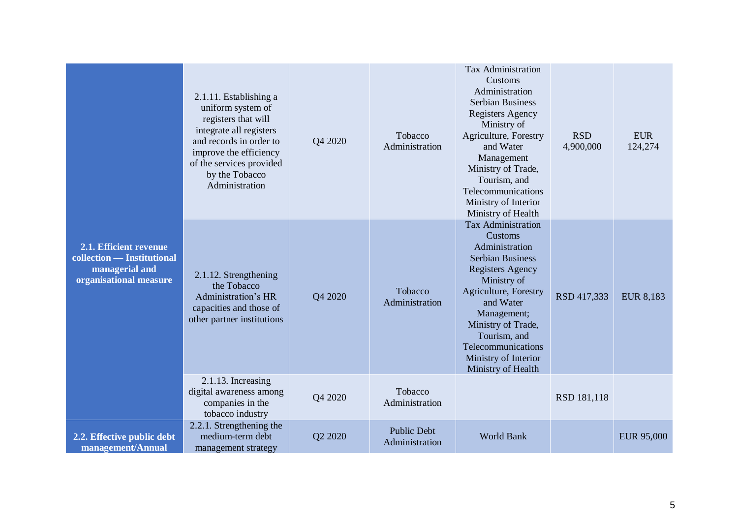| 2.1. Efficient revenue<br>collection — Institutional<br>managerial and<br>organisational measure | 2.1.11. Establishing a<br>uniform system of<br>registers that will<br>integrate all registers<br>and records in order to<br>improve the efficiency<br>of the services provided<br>by the Tobacco<br>Administration | Q4 2020 | Tobacco<br>Administration            | <b>Tax Administration</b><br>Customs<br>Administration<br><b>Serbian Business</b><br><b>Registers Agency</b><br>Ministry of<br>Agriculture, Forestry<br>and Water<br>Management<br>Ministry of Trade,<br>Tourism, and<br>Telecommunications<br>Ministry of Interior<br>Ministry of Health  | <b>RSD</b><br>4,900,000 | <b>EUR</b><br>124,274 |
|--------------------------------------------------------------------------------------------------|--------------------------------------------------------------------------------------------------------------------------------------------------------------------------------------------------------------------|---------|--------------------------------------|--------------------------------------------------------------------------------------------------------------------------------------------------------------------------------------------------------------------------------------------------------------------------------------------|-------------------------|-----------------------|
|                                                                                                  | 2.1.12. Strengthening<br>the Tobacco<br>Administration's HR<br>capacities and those of<br>other partner institutions                                                                                               | Q4 2020 | Tobacco<br>Administration            | <b>Tax Administration</b><br>Customs<br>Administration<br><b>Serbian Business</b><br><b>Registers Agency</b><br>Ministry of<br>Agriculture, Forestry<br>and Water<br>Management;<br>Ministry of Trade,<br>Tourism, and<br>Telecommunications<br>Ministry of Interior<br>Ministry of Health | RSD 417,333             | <b>EUR 8,183</b>      |
|                                                                                                  | 2.1.13. Increasing<br>digital awareness among<br>companies in the<br>tobacco industry                                                                                                                              | Q4 2020 | Tobacco<br>Administration            |                                                                                                                                                                                                                                                                                            | RSD 181,118             |                       |
| 2.2. Effective public debt<br>management/Annual                                                  | 2.2.1. Strengthening the<br>medium-term debt<br>management strategy                                                                                                                                                | Q2 2020 | <b>Public Debt</b><br>Administration | World Bank                                                                                                                                                                                                                                                                                 |                         | EUR 95,000            |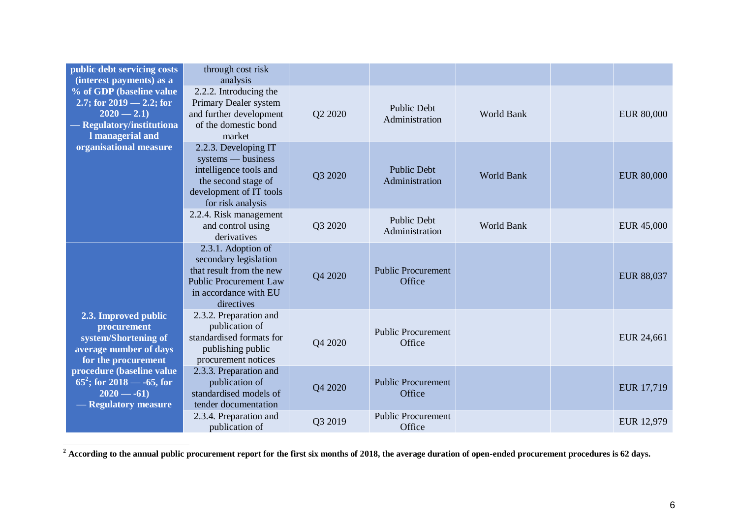| public debt servicing costs<br>(interest payments) as a                                                                | through cost risk<br>analysis                                                                                                                   |         |                                      |                   |                   |
|------------------------------------------------------------------------------------------------------------------------|-------------------------------------------------------------------------------------------------------------------------------------------------|---------|--------------------------------------|-------------------|-------------------|
| % of GDP (baseline value<br>2.7; for $2019 - 2.2$ ; for<br>$2020 - 2.1$<br>Regulatory/institutiona<br>I managerial and | 2.2.2. Introducing the<br>Primary Dealer system<br>and further development<br>of the domestic bond<br>market                                    | Q2 2020 | <b>Public Debt</b><br>Administration | <b>World Bank</b> | <b>EUR 80,000</b> |
| organisational measure                                                                                                 | 2.2.3. Developing IT<br>systems — business<br>intelligence tools and<br>the second stage of<br>development of IT tools<br>for risk analysis     | Q3 2020 | <b>Public Debt</b><br>Administration | <b>World Bank</b> | <b>EUR 80,000</b> |
|                                                                                                                        | 2.2.4. Risk management<br>and control using<br>derivatives                                                                                      | Q3 2020 | <b>Public Debt</b><br>Administration | <b>World Bank</b> | EUR 45,000        |
|                                                                                                                        | 2.3.1. Adoption of<br>secondary legislation<br>that result from the new<br><b>Public Procurement Law</b><br>in accordance with EU<br>directives | Q4 2020 | <b>Public Procurement</b><br>Office  |                   | EUR 88,037        |
| 2.3. Improved public<br>procurement<br>system/Shortening of<br>average number of days<br>for the procurement           | 2.3.2. Preparation and<br>publication of<br>standardised formats for<br>publishing public<br>procurement notices                                | Q4 2020 | <b>Public Procurement</b><br>Office  |                   | EUR 24,661        |
| procedure (baseline value<br>$65^2$ ; for 2018 — -65, for<br>$2020 - -61$<br>- Regulatory measure                      | 2.3.3. Preparation and<br>publication of<br>standardised models of<br>tender documentation                                                      | Q4 2020 | <b>Public Procurement</b><br>Office  |                   | EUR 17,719        |
|                                                                                                                        | 2.3.4. Preparation and<br>publication of                                                                                                        | Q3 2019 | <b>Public Procurement</b><br>Office  |                   | EUR 12,979        |

<sup>&</sup>lt;sup>2</sup> According to the annual public procurement report for the first six months of 2018, the average duration of open-ended procurement procedures is 62 days.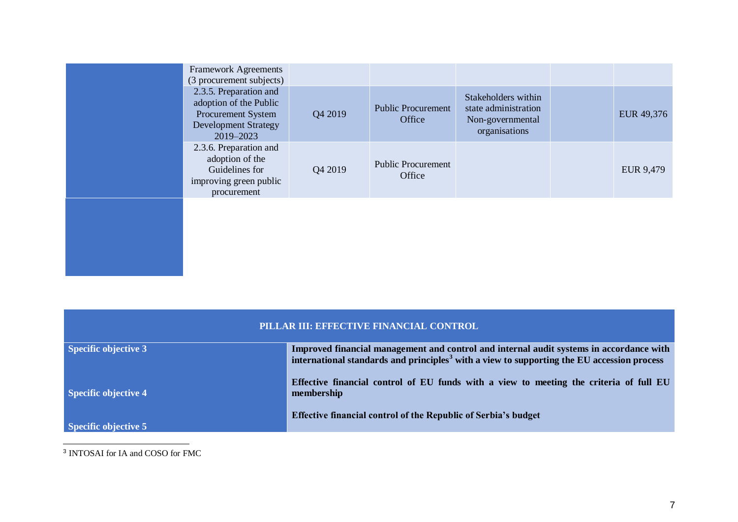| <b>Framework Agreements</b><br>(3 procurement subjects)                                                            |         |                                     |                                                                                  |            |
|--------------------------------------------------------------------------------------------------------------------|---------|-------------------------------------|----------------------------------------------------------------------------------|------------|
| 2.3.5. Preparation and<br>adoption of the Public<br>Procurement System<br><b>Development Strategy</b><br>2019-2023 | Q4 2019 | <b>Public Procurement</b><br>Office | Stakeholders within<br>state administration<br>Non-governmental<br>organisations | EUR 49,376 |
| 2.3.6. Preparation and<br>adoption of the<br>Guidelines for<br>improving green public<br>procurement               | Q4 2019 | <b>Public Procurement</b><br>Office |                                                                                  | EUR 9,479  |
|                                                                                                                    |         |                                     |                                                                                  |            |

| PILLAR III: EFFECTIVE FINANCIAL CONTROL |                                                                                                                                                                                                   |  |  |  |  |  |  |
|-----------------------------------------|---------------------------------------------------------------------------------------------------------------------------------------------------------------------------------------------------|--|--|--|--|--|--|
| <b>Specific objective 3</b>             | Improved financial management and control and internal audit systems in accordance with<br>international standards and principles <sup>3</sup> with a view to supporting the EU accession process |  |  |  |  |  |  |
| <b>Specific objective 4</b>             | Effective financial control of EU funds with a view to meeting the criteria of full EU<br>membership                                                                                              |  |  |  |  |  |  |
| Specific objective 5                    | <b>Effective financial control of the Republic of Serbia's budget</b>                                                                                                                             |  |  |  |  |  |  |

3 INTOSAI for IA and COSO for FMC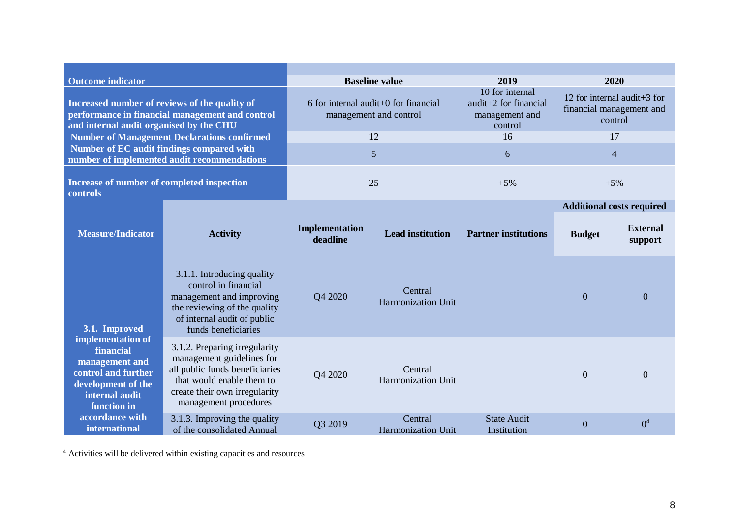| <b>Outcome indicator</b>                                                                                                                    |                                                                                                                                                                                     |                                                                  | <b>Baseline value</b>                | 2019                                                                  | 2020                                                               |                            |
|---------------------------------------------------------------------------------------------------------------------------------------------|-------------------------------------------------------------------------------------------------------------------------------------------------------------------------------------|------------------------------------------------------------------|--------------------------------------|-----------------------------------------------------------------------|--------------------------------------------------------------------|----------------------------|
| Increased number of reviews of the quality of<br>performance in financial management and control<br>and internal audit organised by the CHU |                                                                                                                                                                                     | $6$ for internal audit+0 for financial<br>management and control |                                      | 10 for internal<br>audit+2 for financial<br>management and<br>control | 12 for internal audit+3 for<br>financial management and<br>control |                            |
|                                                                                                                                             | <b>Number of Management Declarations confirmed</b>                                                                                                                                  |                                                                  | 12                                   | 16                                                                    | 17                                                                 |                            |
| Number of EC audit findings compared with                                                                                                   | number of implemented audit recommendations                                                                                                                                         |                                                                  | 5                                    | 6                                                                     | $\overline{4}$                                                     |                            |
| Increase of number of completed inspection<br>controls                                                                                      |                                                                                                                                                                                     |                                                                  | 25                                   | $+5%$                                                                 | $+5%$                                                              |                            |
|                                                                                                                                             |                                                                                                                                                                                     |                                                                  |                                      |                                                                       | <b>Additional costs required</b>                                   |                            |
| <b>Measure/Indicator</b>                                                                                                                    | <b>Activity</b>                                                                                                                                                                     | Implementation<br>deadline                                       | <b>Lead institution</b>              | <b>Partner institutions</b>                                           | <b>Budget</b>                                                      | <b>External</b><br>support |
| 3.1. Improved                                                                                                                               | 3.1.1. Introducing quality<br>control in financial<br>management and improving<br>the reviewing of the quality<br>of internal audit of public<br>funds beneficiaries                | Q4 2020                                                          | Central<br>Harmonization Unit        |                                                                       | $\Omega$                                                           | $\mathbf{0}$               |
| implementation of<br>financial<br>management and<br>control and further<br>development of the<br>internal audit<br>function in              | 3.1.2. Preparing irregularity<br>management guidelines for<br>all public funds beneficiaries<br>that would enable them to<br>create their own irregularity<br>management procedures | Q4 2020                                                          | Central<br><b>Harmonization Unit</b> |                                                                       | $\theta$                                                           | $\overline{0}$             |
| accordance with<br><b>international</b>                                                                                                     | 3.1.3. Improving the quality<br>of the consolidated Annual                                                                                                                          | Q3 2019                                                          | Central<br>Harmonization Unit        | <b>State Audit</b><br>Institution                                     | $\Omega$                                                           | 0 <sup>4</sup>             |

<sup>4</sup> Activities will be delivered within existing capacities and resources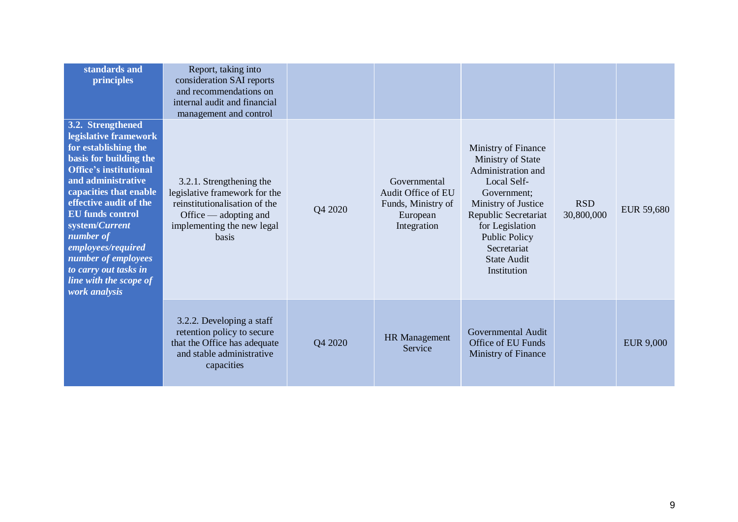| standards and<br>principles                                                                                                                                                                                                                                                                                                                                                        | Report, taking into<br>consideration SAI reports<br>and recommendations on<br>internal audit and financial<br>management and control                                  |         |                                                                                     |                                                                                                                                                                                                                                            |                          |                   |
|------------------------------------------------------------------------------------------------------------------------------------------------------------------------------------------------------------------------------------------------------------------------------------------------------------------------------------------------------------------------------------|-----------------------------------------------------------------------------------------------------------------------------------------------------------------------|---------|-------------------------------------------------------------------------------------|--------------------------------------------------------------------------------------------------------------------------------------------------------------------------------------------------------------------------------------------|--------------------------|-------------------|
| 3.2. Strengthened<br>legislative framework<br>for establishing the<br>basis for building the<br><b>Office's institutional</b><br>and administrative<br>capacities that enable<br>effective audit of the<br><b>EU</b> funds control<br>system/Current<br>number of<br>employees/required<br>number of employees<br>to carry out tasks in<br>line with the scope of<br>work analysis | 3.2.1. Strengthening the<br>legislative framework for the<br>reinstitutionalisation of the<br>Office $\_\$ adopting and<br>implementing the new legal<br><b>basis</b> | Q4 2020 | Governmental<br>Audit Office of EU<br>Funds, Ministry of<br>European<br>Integration | Ministry of Finance<br>Ministry of State<br>Administration and<br>Local Self-<br>Government;<br>Ministry of Justice<br>Republic Secretariat<br>for Legislation<br><b>Public Policy</b><br>Secretariat<br><b>State Audit</b><br>Institution | <b>RSD</b><br>30,800,000 | <b>EUR 59,680</b> |
|                                                                                                                                                                                                                                                                                                                                                                                    | 3.2.2. Developing a staff<br>retention policy to secure<br>that the Office has adequate<br>and stable administrative<br>capacities                                    | Q4 2020 | <b>HR</b> Management<br>Service                                                     | Governmental Audit<br>Office of EU Funds<br>Ministry of Finance                                                                                                                                                                            |                          | <b>EUR 9,000</b>  |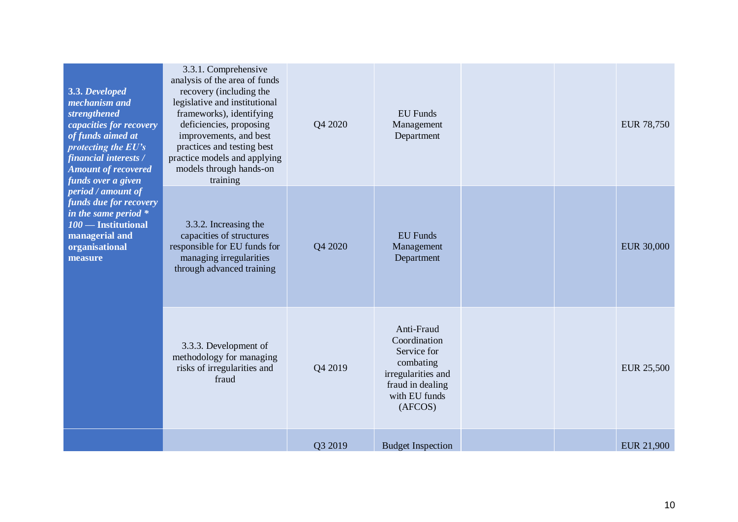| 3.3. Developed<br>mechanism and<br>strengthened<br>capacities for recovery<br>of funds aimed at<br>protecting the $E U's$<br>financial interests /<br><b>Amount of recovered</b><br>funds over a given<br>period / amount of<br>funds due for recovery<br>in the same period $*$<br>100 - Institutional<br>managerial and<br>organisational<br>measure | 3.3.1. Comprehensive<br>analysis of the area of funds<br>recovery (including the<br>legislative and institutional<br>frameworks), identifying<br>deficiencies, proposing<br>improvements, and best<br>practices and testing best<br>practice models and applying<br>models through hands-on<br>training | Q4 2020 | <b>EU</b> Funds<br>Management<br>Department                                                                                  |  | <b>EUR 78,750</b> |
|--------------------------------------------------------------------------------------------------------------------------------------------------------------------------------------------------------------------------------------------------------------------------------------------------------------------------------------------------------|---------------------------------------------------------------------------------------------------------------------------------------------------------------------------------------------------------------------------------------------------------------------------------------------------------|---------|------------------------------------------------------------------------------------------------------------------------------|--|-------------------|
|                                                                                                                                                                                                                                                                                                                                                        | 3.3.2. Increasing the<br>capacities of structures<br>responsible for EU funds for<br>managing irregularities<br>through advanced training                                                                                                                                                               | Q4 2020 | <b>EU</b> Funds<br>Management<br>Department                                                                                  |  | <b>EUR 30,000</b> |
|                                                                                                                                                                                                                                                                                                                                                        | 3.3.3. Development of<br>methodology for managing<br>risks of irregularities and<br>fraud                                                                                                                                                                                                               | Q4 2019 | Anti-Fraud<br>Coordination<br>Service for<br>combating<br>irregularities and<br>fraud in dealing<br>with EU funds<br>(AFCOS) |  | <b>EUR 25,500</b> |
|                                                                                                                                                                                                                                                                                                                                                        |                                                                                                                                                                                                                                                                                                         | Q3 2019 | <b>Budget Inspection</b>                                                                                                     |  | <b>EUR 21,900</b> |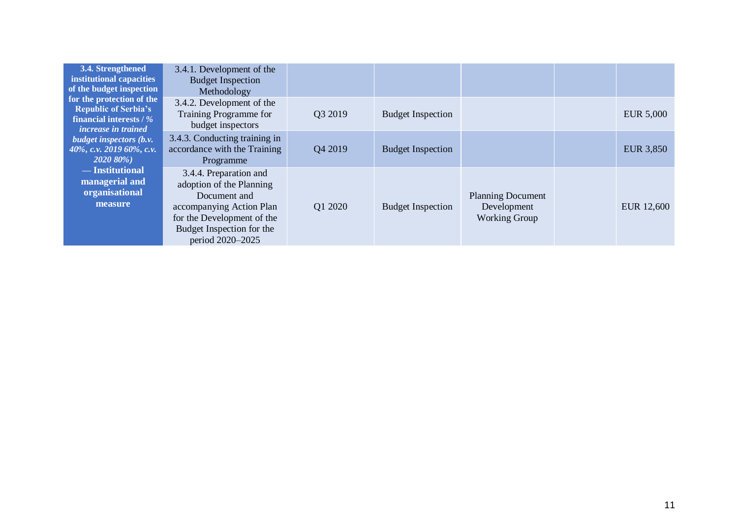| 3.4. Strengthened<br>institutional capacities<br>of the budget inspection                                         | 3.4.1. Development of the<br><b>Budget Inspection</b><br>Methodology                                                                                                          |                     |                          |                                                                 |                  |
|-------------------------------------------------------------------------------------------------------------------|-------------------------------------------------------------------------------------------------------------------------------------------------------------------------------|---------------------|--------------------------|-----------------------------------------------------------------|------------------|
| for the protection of the<br><b>Republic of Serbia's</b><br>financial interests / %<br><i>increase in trained</i> | 3.4.2. Development of the<br>Training Programme for<br>budget inspectors                                                                                                      | O <sub>3</sub> 2019 | <b>Budget Inspection</b> |                                                                 | <b>EUR 5,000</b> |
| <i>budget inspectors (b.v.</i><br>40%, c.v. 2019 60%, c.v.<br>2020 80%)                                           | 3.4.3. Conducting training in<br>accordance with the Training<br>Programme                                                                                                    | Q4 2019             | <b>Budget Inspection</b> |                                                                 | <b>EUR 3,850</b> |
| — Institutional<br>managerial and<br>organisational<br>measure                                                    | 3.4.4. Preparation and<br>adoption of the Planning<br>Document and<br>accompanying Action Plan<br>for the Development of the<br>Budget Inspection for the<br>period 2020-2025 | Q1 2020             | <b>Budget Inspection</b> | <b>Planning Document</b><br>Development<br><b>Working Group</b> | EUR 12,600       |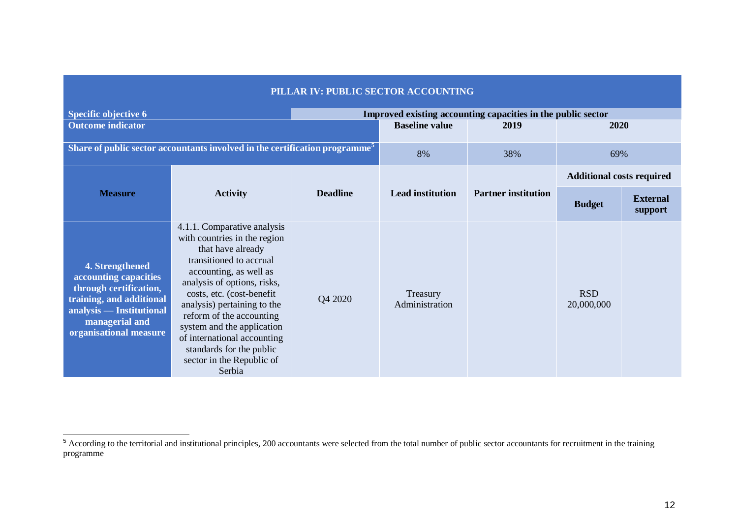| PILLAR IV: PUBLIC SECTOR ACCOUNTING                                                                                                                                    |                                                                                                                                                                                                                                                                                                                                                                                              |                       |                                                              |                            |                                  |                            |  |  |
|------------------------------------------------------------------------------------------------------------------------------------------------------------------------|----------------------------------------------------------------------------------------------------------------------------------------------------------------------------------------------------------------------------------------------------------------------------------------------------------------------------------------------------------------------------------------------|-----------------------|--------------------------------------------------------------|----------------------------|----------------------------------|----------------------------|--|--|
| <b>Specific objective 6</b>                                                                                                                                            |                                                                                                                                                                                                                                                                                                                                                                                              |                       | Improved existing accounting capacities in the public sector |                            |                                  |                            |  |  |
| <b>Outcome indicator</b>                                                                                                                                               |                                                                                                                                                                                                                                                                                                                                                                                              | <b>Baseline value</b> | 2019                                                         | 2020                       |                                  |                            |  |  |
| Share of public sector accountants involved in the certification programme <sup>5</sup>                                                                                |                                                                                                                                                                                                                                                                                                                                                                                              |                       | 8%                                                           | 38%                        | 69%                              |                            |  |  |
|                                                                                                                                                                        |                                                                                                                                                                                                                                                                                                                                                                                              | <b>Deadline</b>       | <b>Lead institution</b>                                      | <b>Partner institution</b> | <b>Additional costs required</b> |                            |  |  |
| <b>Measure</b>                                                                                                                                                         | <b>Activity</b>                                                                                                                                                                                                                                                                                                                                                                              |                       |                                                              |                            | <b>Budget</b>                    | <b>External</b><br>support |  |  |
| 4. Strengthened<br>accounting capacities<br>through certification,<br>training, and additional<br>analysis — Institutional<br>managerial and<br>organisational measure | 4.1.1. Comparative analysis<br>with countries in the region<br>that have already<br>transitioned to accrual<br>accounting, as well as<br>analysis of options, risks,<br>costs, etc. (cost-benefit<br>analysis) pertaining to the<br>reform of the accounting<br>system and the application<br>of international accounting<br>standards for the public<br>sector in the Republic of<br>Serbia | Q4 2020               | Treasury<br>Administration                                   |                            | <b>RSD</b><br>20,000,000         |                            |  |  |

## <sup>5</sup> According to the territorial and institutional principles, 200 accountants were selected from the total number of public sector accountants for recruitment in the training programme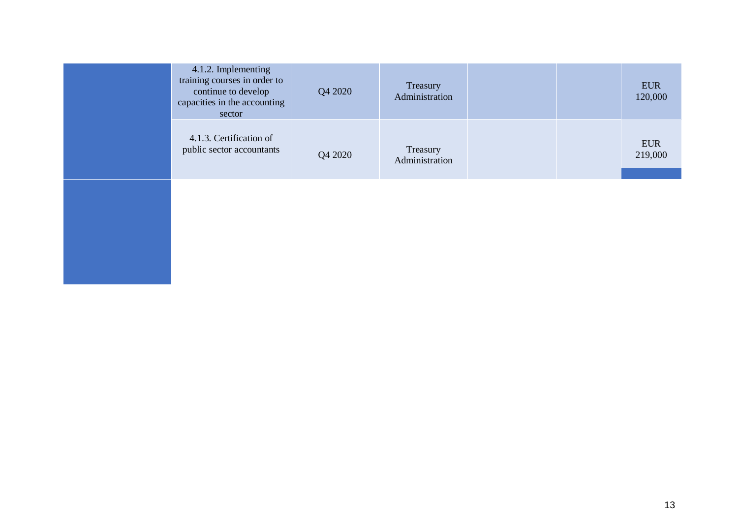| 4.1.2. Implementing<br>training courses in order to<br>continue to develop<br>capacities in the accounting<br>sector | Q4 2020 | Treasury<br>Administration |  | <b>EUR</b><br>120,000 |
|----------------------------------------------------------------------------------------------------------------------|---------|----------------------------|--|-----------------------|
| 4.1.3. Certification of<br>public sector accountants                                                                 | Q4 2020 | Treasury<br>Administration |  | <b>EUR</b><br>219,000 |
|                                                                                                                      |         |                            |  |                       |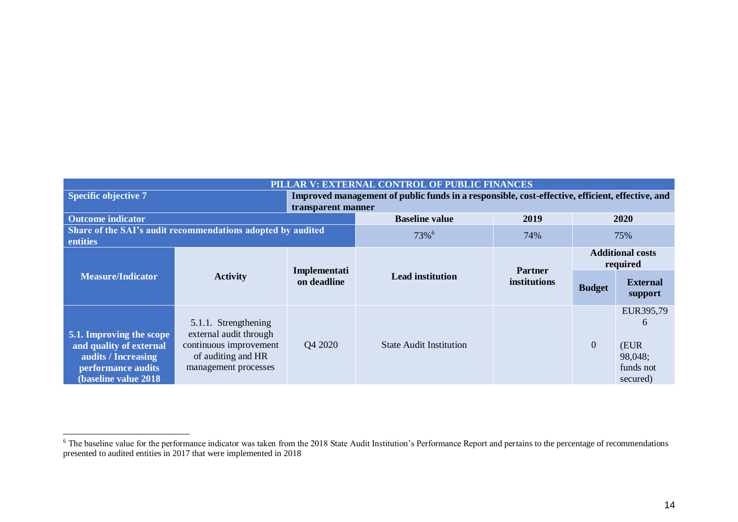| PILLAR V: EXTERNAL CONTROL OF PUBLIC FINANCES                                                                             |                                                                                                                        |                             |                                                                                                 |                                |                                     |                                                            |  |  |
|---------------------------------------------------------------------------------------------------------------------------|------------------------------------------------------------------------------------------------------------------------|-----------------------------|-------------------------------------------------------------------------------------------------|--------------------------------|-------------------------------------|------------------------------------------------------------|--|--|
| <b>Specific objective 7</b>                                                                                               |                                                                                                                        |                             | Improved management of public funds in a responsible, cost-effective, efficient, effective, and |                                |                                     |                                                            |  |  |
| transparent manner                                                                                                        |                                                                                                                        |                             |                                                                                                 |                                |                                     |                                                            |  |  |
| <b>Outcome indicator</b>                                                                                                  |                                                                                                                        |                             | <b>Baseline value</b>                                                                           | 2019                           | 2020                                |                                                            |  |  |
| Share of the SAI's audit recommendations adopted by audited<br>entities                                                   |                                                                                                                        |                             | 73% <sup>6</sup>                                                                                | 74%                            | 75%                                 |                                                            |  |  |
| <b>Measure/Indicator</b>                                                                                                  | <b>Activity</b>                                                                                                        | Implementati<br>on deadline |                                                                                                 |                                | <b>Additional costs</b><br>required |                                                            |  |  |
|                                                                                                                           |                                                                                                                        |                             | <b>Lead institution</b>                                                                         | <b>Partner</b><br>institutions | <b>Budget</b>                       | <b>External</b><br>support                                 |  |  |
| 5.1. Improving the scope<br>and quality of external<br>audits / Increasing<br>performance audits<br>(baseline value 2018) | 5.1.1. Strengthening<br>external audit through<br>continuous improvement<br>of auditing and HR<br>management processes | Q4 2020                     | <b>State Audit Institution</b>                                                                  |                                | $\overline{0}$                      | EUR395,79<br>6<br>(EUR<br>98,048;<br>funds not<br>secured) |  |  |

 $6$  The baseline value for the performance indicator was taken from the 2018 State Audit Institution's Performance Report and pertains to the percentage of recommendations presented to audited entities in 2017 that were implemented in 2018